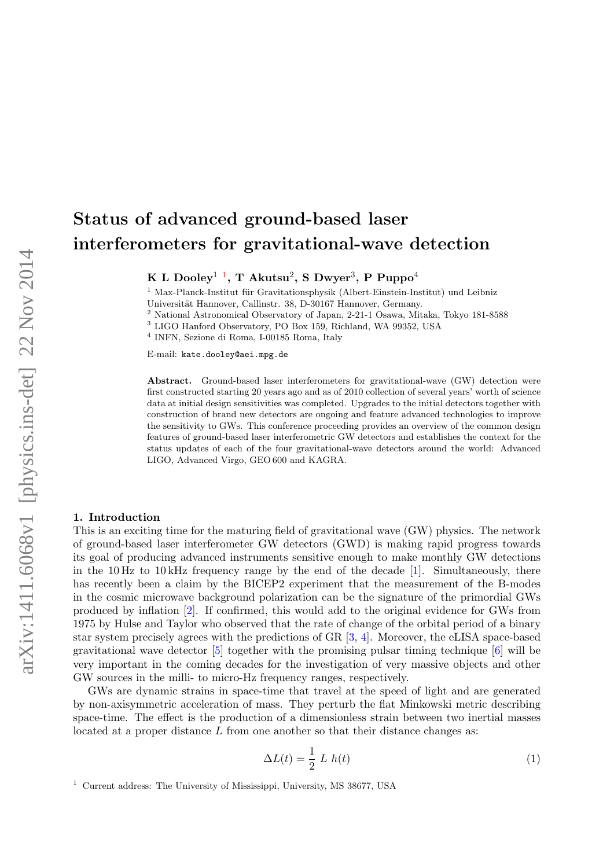# Status of advanced ground-based laser interferometers for gravitational-wave detection

 $\,\rm K\,$  L Dooley $^1$  $^1$   $^1,$  T Akutsu $^2,$  S Dwyer $^3,$  P Puppo $^4$ 

 $1$  Max-Planck-Institut für Gravitationsphysik (Albert-Einstein-Institut) und Leibniz

Universität Hannover, Callinstr. 38, D-30167 Hannover, Germany.

<sup>2</sup> National Astronomical Observatory of Japan, 2-21-1 Osawa, Mitaka, Tokyo 181-8588

<sup>3</sup> LIGO Hanford Observatory, PO Box 159, Richland, WA 99352, USA

4 INFN, Sezione di Roma, I-00185 Roma, Italy

E-mail: kate.dooley@aei.mpg.de

Abstract. Ground-based laser interferometers for gravitational-wave (GW) detection were first constructed starting 20 years ago and as of 2010 collection of several years' worth of science data at initial design sensitivities was completed. Upgrades to the initial detectors together with construction of brand new detectors are ongoing and feature advanced technologies to improve the sensitivity to GWs. This conference proceeding provides an overview of the common design features of ground-based laser interferometric GW detectors and establishes the context for the status updates of each of the four gravitational-wave detectors around the world: Advanced LIGO, Advanced Virgo, GEO 600 and KAGRA.

#### 1. Introduction

This is an exciting time for the maturing field of gravitational wave (GW) physics. The network of ground-based laser interferometer GW detectors (GWD) is making rapid progress towards its goal of producing advanced instruments sensitive enough to make monthly GW detections in the 10 Hz to 10 kHz frequency range by the end of the decade  $[1]$ . Simultaneously, there has recently been a claim by the BICEP2 experiment that the measurement of the B-modes in the cosmic microwave background polarization can be the signature of the primordial GWs produced by inflation [\[2\]](#page-5-1). If confirmed, this would add to the original evidence for GWs from 1975 by Hulse and Taylor who observed that the rate of change of the orbital period of a binary star system precisely agrees with the predictions of GR [\[3,](#page-5-2) [4\]](#page-5-3). Moreover, the eLISA space-based gravitational wave detector  $\lceil 5 \rceil$  together with the promising pulsar timing technique  $\lceil 6 \rceil$  will be very important in the coming decades for the investigation of very massive objects and other GW sources in the milli- to micro-Hz frequency ranges, respectively.

GWs are dynamic strains in space-time that travel at the speed of light and are generated by non-axisymmetric acceleration of mass. They perturb the flat Minkowski metric describing space-time. The effect is the production of a dimensionless strain between two inertial masses located at a proper distance  $L$  from one another so that their distance changes as:

$$
\Delta L(t) = \frac{1}{2} L h(t) \tag{1}
$$

<span id="page-0-0"></span><sup>1</sup> Current address: The University of Mississippi, University, MS 38677, USA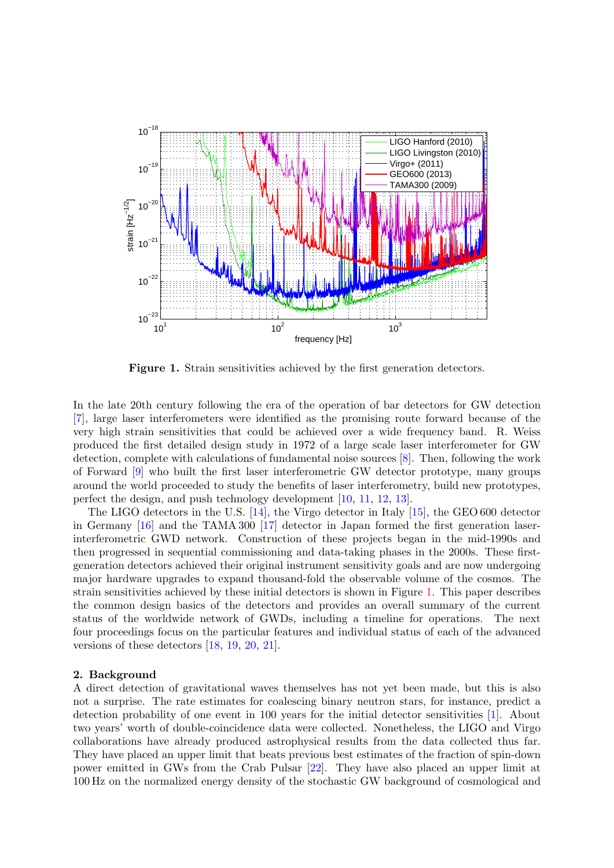

<span id="page-1-0"></span>Figure 1. Strain sensitivities achieved by the first generation detectors.

In the late 20th century following the era of the operation of bar detectors for GW detection [\[7\]](#page-6-0), large laser interferometers were identified as the promising route forward because of the very high strain sensitivities that could be achieved over a wide frequency band. R. Weiss produced the first detailed design study in 1972 of a large scale laser interferometer for GW detection, complete with calculations of fundamental noise sources [\[8\]](#page-6-1). Then, following the work of Forward [\[9\]](#page-6-2) who built the first laser interferometric GW detector prototype, many groups around the world proceeded to study the benefits of laser interferometry, build new prototypes, perfect the design, and push technology development [\[10,](#page-6-3) [11,](#page-6-4) [12,](#page-6-5) [13\]](#page-6-6).

The LIGO detectors in the U.S. [\[14\]](#page-6-7), the Virgo detector in Italy [\[15\]](#page-6-8), the GEO 600 detector in Germany [\[16\]](#page-6-9) and the TAMA 300 [\[17\]](#page-6-10) detector in Japan formed the first generation laserinterferometric GWD network. Construction of these projects began in the mid-1990s and then progressed in sequential commissioning and data-taking phases in the 2000s. These firstgeneration detectors achieved their original instrument sensitivity goals and are now undergoing major hardware upgrades to expand thousand-fold the observable volume of the cosmos. The strain sensitivities achieved by these initial detectors is shown in Figure [1.](#page-1-0) This paper describes the common design basics of the detectors and provides an overall summary of the current status of the worldwide network of GWDs, including a timeline for operations. The next four proceedings focus on the particular features and individual status of each of the advanced versions of these detectors [\[18,](#page-6-11) [19,](#page-6-12) [20,](#page-6-13) [21\]](#page-6-14).

## 2. Background

A direct detection of gravitational waves themselves has not yet been made, but this is also not a surprise. The rate estimates for coalescing binary neutron stars, for instance, predict a detection probability of one event in 100 years for the initial detector sensitivities [\[1\]](#page-5-0). About two years' worth of double-coincidence data were collected. Nonetheless, the LIGO and Virgo collaborations have already produced astrophysical results from the data collected thus far. They have placed an upper limit that beats previous best estimates of the fraction of spin-down power emitted in GWs from the Crab Pulsar [\[22\]](#page-6-15). They have also placed an upper limit at 100 Hz on the normalized energy density of the stochastic GW background of cosmological and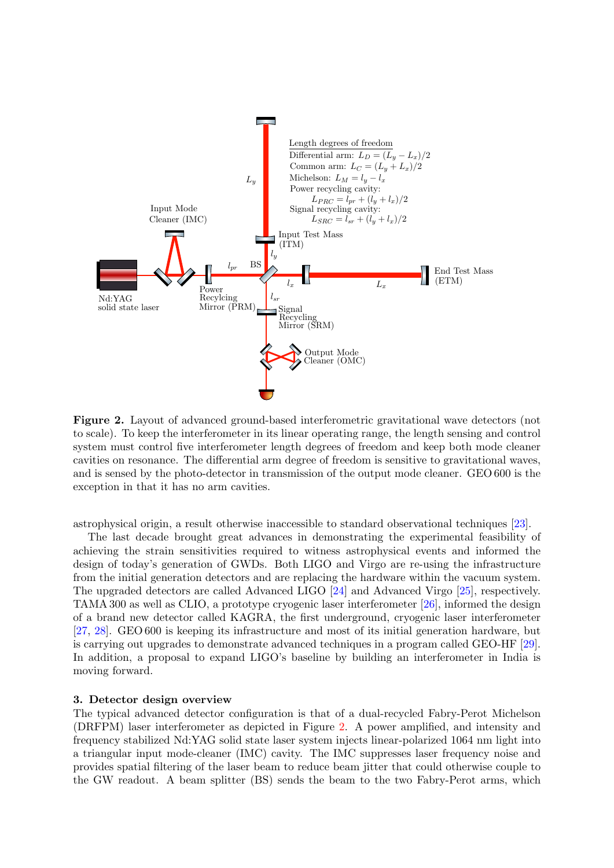

<span id="page-2-0"></span>Figure 2. Layout of advanced ground-based interferometric gravitational wave detectors (not to scale). To keep the interferometer in its linear operating range, the length sensing and control system must control five interferometer length degrees of freedom and keep both mode cleaner cavities on resonance. The differential arm degree of freedom is sensitive to gravitational waves, and is sensed by the photo-detector in transmission of the output mode cleaner. GEO 600 is the exception in that it has no arm cavities.

astrophysical origin, a result otherwise inaccessible to standard observational techniques [\[23\]](#page-6-16).

The last decade brought great advances in demonstrating the experimental feasibility of achieving the strain sensitivities required to witness astrophysical events and informed the design of today's generation of GWDs. Both LIGO and Virgo are re-using the infrastructure from the initial generation detectors and are replacing the hardware within the vacuum system. The upgraded detectors are called Advanced LIGO [\[24\]](#page-6-17) and Advanced Virgo [\[25\]](#page-6-18), respectively. TAMA 300 as well as CLIO, a prototype cryogenic laser interferometer [\[26\]](#page-6-19), informed the design of a brand new detector called KAGRA, the first underground, cryogenic laser interferometer [\[27,](#page-6-20) [28\]](#page-6-21). GEO 600 is keeping its infrastructure and most of its initial generation hardware, but is carrying out upgrades to demonstrate advanced techniques in a program called GEO-HF [\[29\]](#page-6-22). In addition, a proposal to expand LIGO's baseline by building an interferometer in India is moving forward.

#### 3. Detector design overview

The typical advanced detector configuration is that of a dual-recycled Fabry-Perot Michelson (DRFPM) laser interferometer as depicted in Figure [2.](#page-2-0) A power amplified, and intensity and frequency stabilized Nd:YAG solid state laser system injects linear-polarized 1064 nm light into a triangular input mode-cleaner (IMC) cavity. The IMC suppresses laser frequency noise and provides spatial filtering of the laser beam to reduce beam jitter that could otherwise couple to the GW readout. A beam splitter (BS) sends the beam to the two Fabry-Perot arms, which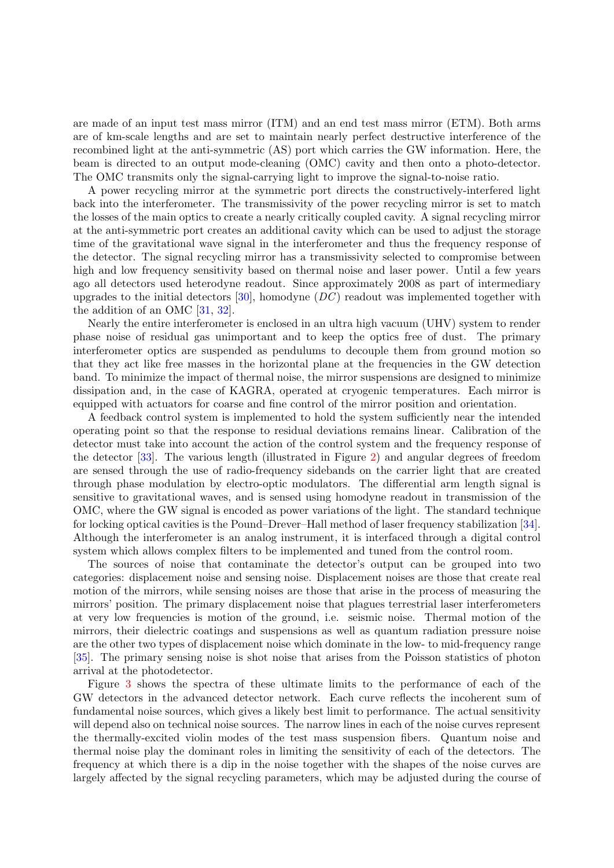are made of an input test mass mirror (ITM) and an end test mass mirror (ETM). Both arms are of km-scale lengths and are set to maintain nearly perfect destructive interference of the recombined light at the anti-symmetric (AS) port which carries the GW information. Here, the beam is directed to an output mode-cleaning (OMC) cavity and then onto a photo-detector. The OMC transmits only the signal-carrying light to improve the signal-to-noise ratio.

A power recycling mirror at the symmetric port directs the constructively-interfered light back into the interferometer. The transmissivity of the power recycling mirror is set to match the losses of the main optics to create a nearly critically coupled cavity. A signal recycling mirror at the anti-symmetric port creates an additional cavity which can be used to adjust the storage time of the gravitational wave signal in the interferometer and thus the frequency response of the detector. The signal recycling mirror has a transmissivity selected to compromise between high and low frequency sensitivity based on thermal noise and laser power. Until a few years ago all detectors used heterodyne readout. Since approximately 2008 as part of intermediary upgrades to the initial detectors  $[30]$ , homodyne  $(DC)$  readout was implemented together with the addition of an OMC [\[31,](#page-6-24) [32\]](#page-6-25).

Nearly the entire interferometer is enclosed in an ultra high vacuum (UHV) system to render phase noise of residual gas unimportant and to keep the optics free of dust. The primary interferometer optics are suspended as pendulums to decouple them from ground motion so that they act like free masses in the horizontal plane at the frequencies in the GW detection band. To minimize the impact of thermal noise, the mirror suspensions are designed to minimize dissipation and, in the case of KAGRA, operated at cryogenic temperatures. Each mirror is equipped with actuators for coarse and fine control of the mirror position and orientation.

A feedback control system is implemented to hold the system sufficiently near the intended operating point so that the response to residual deviations remains linear. Calibration of the detector must take into account the action of the control system and the frequency response of the detector [\[33\]](#page-6-26). The various length (illustrated in Figure [2\)](#page-2-0) and angular degrees of freedom are sensed through the use of radio-frequency sidebands on the carrier light that are created through phase modulation by electro-optic modulators. The differential arm length signal is sensitive to gravitational waves, and is sensed using homodyne readout in transmission of the OMC, where the GW signal is encoded as power variations of the light. The standard technique for locking optical cavities is the Pound–Drever–Hall method of laser frequency stabilization [\[34\]](#page-6-27). Although the interferometer is an analog instrument, it is interfaced through a digital control system which allows complex filters to be implemented and tuned from the control room.

The sources of noise that contaminate the detector's output can be grouped into two categories: displacement noise and sensing noise. Displacement noises are those that create real motion of the mirrors, while sensing noises are those that arise in the process of measuring the mirrors' position. The primary displacement noise that plagues terrestrial laser interferometers at very low frequencies is motion of the ground, i.e. seismic noise. Thermal motion of the mirrors, their dielectric coatings and suspensions as well as quantum radiation pressure noise are the other two types of displacement noise which dominate in the low- to mid-frequency range [\[35\]](#page-6-28). The primary sensing noise is shot noise that arises from the Poisson statistics of photon arrival at the photodetector.

Figure [3](#page-4-0) shows the spectra of these ultimate limits to the performance of each of the GW detectors in the advanced detector network. Each curve reflects the incoherent sum of fundamental noise sources, which gives a likely best limit to performance. The actual sensitivity will depend also on technical noise sources. The narrow lines in each of the noise curves represent the thermally-excited violin modes of the test mass suspension fibers. Quantum noise and thermal noise play the dominant roles in limiting the sensitivity of each of the detectors. The frequency at which there is a dip in the noise together with the shapes of the noise curves are largely affected by the signal recycling parameters, which may be adjusted during the course of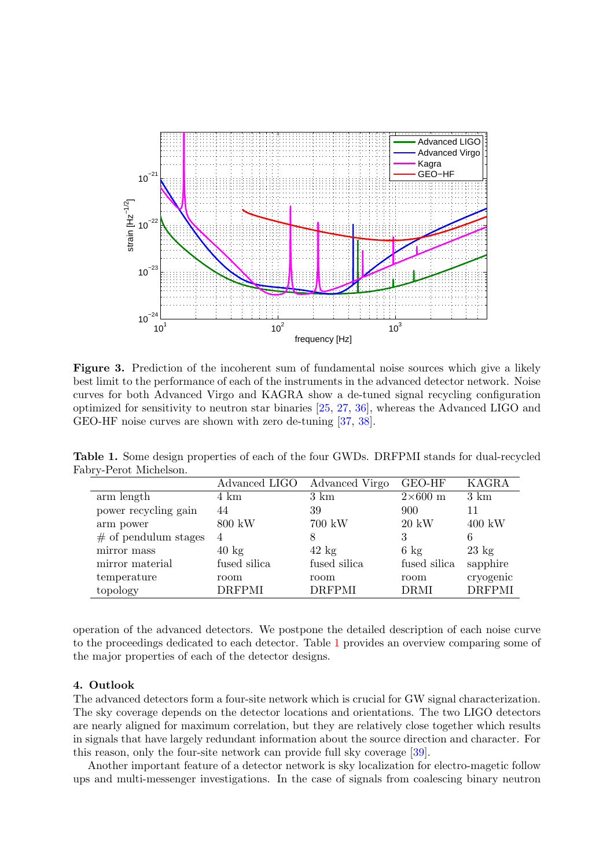

<span id="page-4-0"></span>Figure 3. Prediction of the incoherent sum of fundamental noise sources which give a likely best limit to the performance of each of the instruments in the advanced detector network. Noise curves for both Advanced Virgo and KAGRA show a de-tuned signal recycling configuration optimized for sensitivity to neutron star binaries [\[25,](#page-6-18) [27,](#page-6-20) [36\]](#page-6-29), whereas the Advanced LIGO and GEO-HF noise curves are shown with zero de-tuning [\[37,](#page-6-30) [38\]](#page-6-31).

Table 1. Some design properties of each of the four GWDs. DRFPMI stands for dual-recycled Fabry-Perot Michelson.

<span id="page-4-1"></span>

|                        | Advanced LIGO   | Advanced Virgo  | <b>GEO-HF</b>   | <b>KAGRA</b>    |
|------------------------|-----------------|-----------------|-----------------|-----------------|
| arm length             | 4 km            | $3 \text{ km}$  | $2\times600$ m  | $3 \text{ km}$  |
| power recycling gain   | 44              | 39              | 900             | 11              |
| arm power              | 800 kW          | 700 kW          | $20 \text{ kW}$ | $400$ kW        |
| $#$ of pendulum stages | 4               | 8               | 3               | 6               |
| mirror mass            | $40 \text{ kg}$ | $42 \text{ kg}$ | $6 \text{ kg}$  | $23 \text{ kg}$ |
| mirror material        | fused silica    | fused silica    | fused silica    | sapphire        |
| temperature            | room            | room            | room            | cryogenic       |
| topology               | <b>DRFPMI</b>   | <b>DRFPMI</b>   | <b>DRMI</b>     | <b>DRFPMI</b>   |

operation of the advanced detectors. We postpone the detailed description of each noise curve to the proceedings dedicated to each detector. Table [1](#page-4-1) provides an overview comparing some of the major properties of each of the detector designs.

## 4. Outlook

The advanced detectors form a four-site network which is crucial for GW signal characterization. The sky coverage depends on the detector locations and orientations. The two LIGO detectors are nearly aligned for maximum correlation, but they are relatively close together which results in signals that have largely redundant information about the source direction and character. For this reason, only the four-site network can provide full sky coverage [\[39\]](#page-6-32).

Another important feature of a detector network is sky localization for electro-magetic follow ups and multi-messenger investigations. In the case of signals from coalescing binary neutron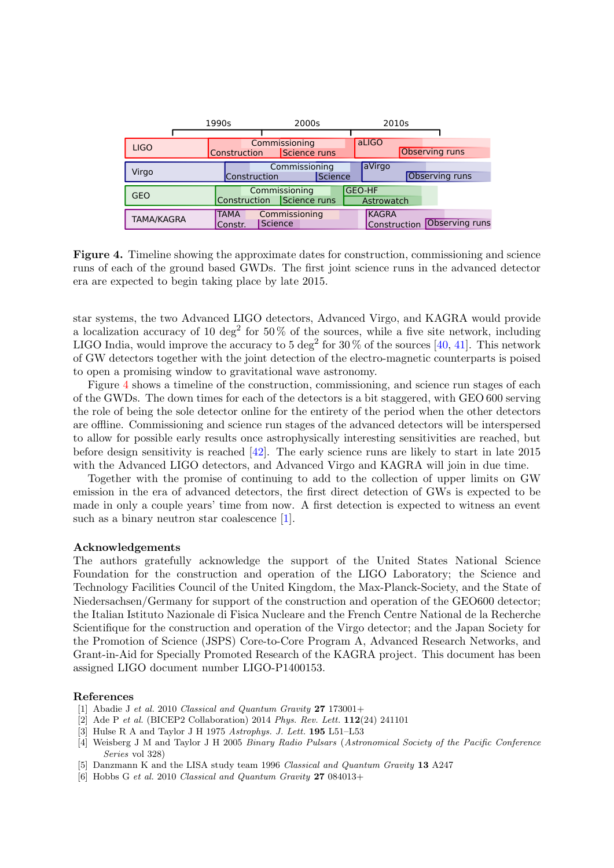|             | 1990s                  | 2000s                                      | 2010s |                              |                |
|-------------|------------------------|--------------------------------------------|-------|------------------------------|----------------|
|             |                        |                                            |       |                              |                |
| <b>LIGO</b> | Construction           | Commissioning<br>Science runs              |       | aLIGO                        | Observing runs |
| Virgo       | Construction           | Commissioning<br>Science                   |       | aVirgo                       | Observing runs |
| <b>GEO</b>  |                        | Commissioning<br>Construction Science runs |       | <b>GEO-HF</b><br>Astrowatch  |                |
| TAMA/KAGRA  | <b>TAMA</b><br>Constr. | Commissioning<br>Science                   |       | <b>KAGRA</b><br>Construction | Observing runs |

<span id="page-5-6"></span>Figure 4. Timeline showing the approximate dates for construction, commissioning and science runs of each of the ground based GWDs. The first joint science runs in the advanced detector era are expected to begin taking place by late 2015.

star systems, the two Advanced LIGO detectors, Advanced Virgo, and KAGRA would provide a localization accuracy of 10 deg<sup>2</sup> for 50% of the sources, while a five site network, including LIGO India, would improve the accuracy to 5 deg<sup>2</sup> for 30  $\%$  of the sources [\[40,](#page-6-33) [41\]](#page-6-34). This network of GW detectors together with the joint detection of the electro-magnetic counterparts is poised to open a promising window to gravitational wave astronomy.

Figure [4](#page-5-6) shows a timeline of the construction, commissioning, and science run stages of each of the GWDs. The down times for each of the detectors is a bit staggered, with GEO 600 serving the role of being the sole detector online for the entirety of the period when the other detectors are offline. Commissioning and science run stages of the advanced detectors will be interspersed to allow for possible early results once astrophysically interesting sensitivities are reached, but before design sensitivity is reached [\[42\]](#page-6-35). The early science runs are likely to start in late 2015 with the Advanced LIGO detectors, and Advanced Virgo and KAGRA will join in due time.

Together with the promise of continuing to add to the collection of upper limits on GW emission in the era of advanced detectors, the first direct detection of GWs is expected to be made in only a couple years' time from now. A first detection is expected to witness an event such as a binary neutron star coalescence [\[1\]](#page-5-0).

### Acknowledgements

The authors gratefully acknowledge the support of the United States National Science Foundation for the construction and operation of the LIGO Laboratory; the Science and Technology Facilities Council of the United Kingdom, the Max-Planck-Society, and the State of Niedersachsen/Germany for support of the construction and operation of the GEO600 detector; the Italian Istituto Nazionale di Fisica Nucleare and the French Centre National de la Recherche Scientifique for the construction and operation of the Virgo detector; and the Japan Society for the Promotion of Science (JSPS) Core-to-Core Program A, Advanced Research Networks, and Grant-in-Aid for Specially Promoted Research of the KAGRA project. This document has been assigned LIGO document number LIGO-P1400153.

#### References

- <span id="page-5-0"></span>[1] Abadie J et al. 2010 Classical and Quantum Gravity  $27$  173001+
- <span id="page-5-1"></span>[2] Ade P et al. (BICEP2 Collaboration) 2014 Phys. Rev. Lett. 112(24) 241101
- <span id="page-5-2"></span>[3] Hulse R A and Taylor J H 1975 Astrophys. J. Lett. 195 L51–L53
- <span id="page-5-3"></span>[4] Weisberg J M and Taylor J H 2005 Binary Radio Pulsars (Astronomical Society of the Pacific Conference Series vol 328)
- <span id="page-5-4"></span>[5] Danzmann K and the LISA study team 1996 Classical and Quantum Gravity 13 A247
- <span id="page-5-5"></span>[6] Hobbs G et al. 2010 Classical and Quantum Gravity 27 084013+